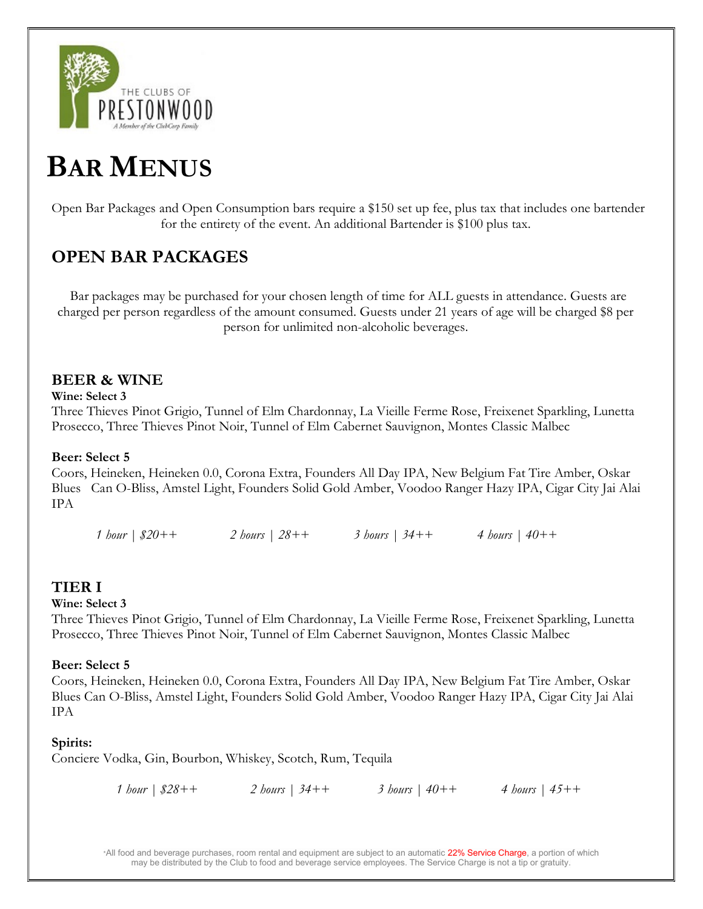

# BAR MENUS

Open Bar Packages and Open Consumption bars require a \$150 set up fee, plus tax that includes one bartender for the entirety of the event. An additional Bartender is \$100 plus tax.

# OPEN BAR PACKAGES

Bar packages may be purchased for your chosen length of time for ALL guests in attendance. Guests are charged per person regardless of the amount consumed. Guests under 21 years of age will be charged \$8 per person for unlimited non-alcoholic beverages.

## BEER & WINE

## Wine: Select 3

Three Thieves Pinot Grigio, Tunnel of Elm Chardonnay, La Vieille Ferme Rose, Freixenet Sparkling, Lunetta Prosecco, Three Thieves Pinot Noir, Tunnel of Elm Cabernet Sauvignon, Montes Classic Malbec

## Beer: Select 5

Coors, Heineken, Heineken 0.0, Corona Extra, Founders All Day IPA, New Belgium Fat Tire Amber, Oskar Blues Can O-Bliss, Amstel Light, Founders Solid Gold Amber, Voodoo Ranger Hazy IPA, Cigar City Jai Alai IPA

1 hour | \$20++ 2 hours | 28++ 3 hours | 34++ 4 hours | 40++

## TIER I

## Wine: Select 3

Three Thieves Pinot Grigio, Tunnel of Elm Chardonnay, La Vieille Ferme Rose, Freixenet Sparkling, Lunetta Prosecco, Three Thieves Pinot Noir, Tunnel of Elm Cabernet Sauvignon, Montes Classic Malbec

## Beer: Select 5

Coors, Heineken, Heineken 0.0, Corona Extra, Founders All Day IPA, New Belgium Fat Tire Amber, Oskar Blues Can O-Bliss, Amstel Light, Founders Solid Gold Amber, Voodoo Ranger Hazy IPA, Cigar City Jai Alai IPA

## Spirits:

Conciere Vodka, Gin, Bourbon, Whiskey, Scotch, Rum, Tequila

1 hour | \$28++ 2 hours | 34++ 3 hours | 40++ 4 hours | 45++

\*All food and beverage purchases, room rental and equipment are subject to an automatic 22% Service Charge, a portion of which may be distributed by the Club to food and beverage service employees. The Service Charge is not a tip or gratuity.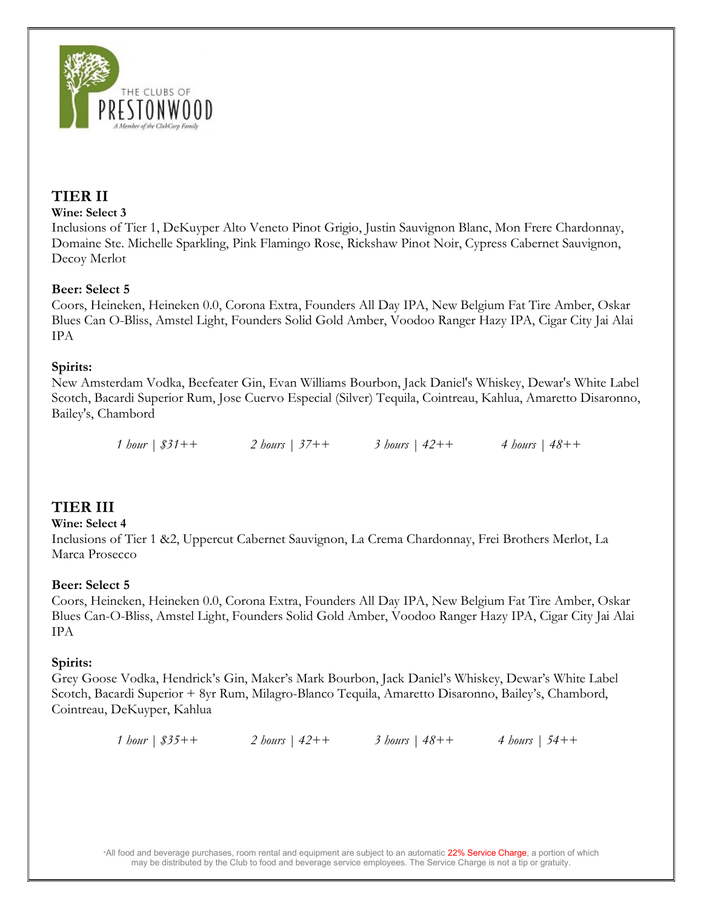

## TIER II

#### Wine: Select 3

Inclusions of Tier 1, DeKuyper Alto Veneto Pinot Grigio, Justin Sauvignon Blanc, Mon Frere Chardonnay, Domaine Ste. Michelle Sparkling, Pink Flamingo Rose, Rickshaw Pinot Noir, Cypress Cabernet Sauvignon, Decoy Merlot

## Beer: Select 5

Coors, Heineken, Heineken 0.0, Corona Extra, Founders All Day IPA, New Belgium Fat Tire Amber, Oskar Blues Can O-Bliss, Amstel Light, Founders Solid Gold Amber, Voodoo Ranger Hazy IPA, Cigar City Jai Alai IPA

## Spirits:

New Amsterdam Vodka, Beefeater Gin, Evan Williams Bourbon, Jack Daniel's Whiskey, Dewar's White Label Scotch, Bacardi Superior Rum, Jose Cuervo Especial (Silver) Tequila, Cointreau, Kahlua, Amaretto Disaronno, Bailey's, Chambord

1 hour | \$31++ 2 hours | 37++ 3 hours | 42++ 4 hours | 48++

## TIER III

## Wine: Select 4

Inclusions of Tier 1 &2, Uppercut Cabernet Sauvignon, La Crema Chardonnay, Frei Brothers Merlot, La Marca Prosecco

## Beer: Select 5

Coors, Heineken, Heineken 0.0, Corona Extra, Founders All Day IPA, New Belgium Fat Tire Amber, Oskar Blues Can-O-Bliss, Amstel Light, Founders Solid Gold Amber, Voodoo Ranger Hazy IPA, Cigar City Jai Alai IPA

## Spirits:

Grey Goose Vodka, Hendrick's Gin, Maker's Mark Bourbon, Jack Daniel's Whiskey, Dewar's White Label Scotch, Bacardi Superior + 8yr Rum, Milagro-Blanco Tequila, Amaretto Disaronno, Bailey's, Chambord, Cointreau, DeKuyper, Kahlua

1 hour | \$35++ 2 hours | 42++ 3 hours | 48++ 4 hours | 54++

\*All food and beverage purchases, room rental and equipment are subject to an automatic 22% Service Charge, a portion of which may be distributed by the Club to food and beverage service employees. The Service Charge is not a tip or gratuity.